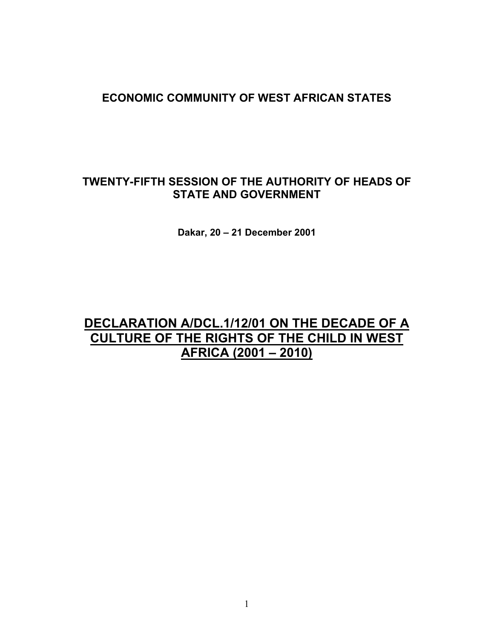### **ECONOMIC COMMUNITY OF WEST AFRICAN STATES**

## **TWENTY-FIFTH SESSION OF THE AUTHORITY OF HEADS OF STATE AND GOVERNMENT**

**Dakar, 20 – 21 December 2001**

## **DECLARATION A/DCL.1/12/01 ON THE DECADE OF A CULTURE OF THE RIGHTS OF THE CHILD IN WEST AFRICA (2001 – 2010)**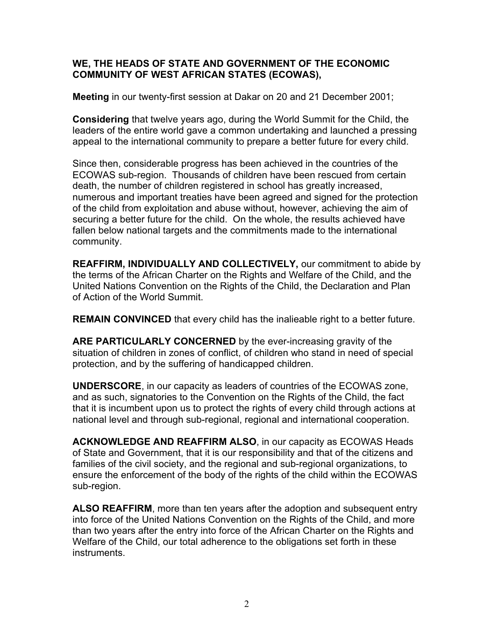#### **WE, THE HEADS OF STATE AND GOVERNMENT OF THE ECONOMIC COMMUNITY OF WEST AFRICAN STATES (ECOWAS),**

**Meeting** in our twenty-first session at Dakar on 20 and 21 December 2001;

**Considering** that twelve years ago, during the World Summit for the Child, the leaders of the entire world gave a common undertaking and launched a pressing appeal to the international community to prepare a better future for every child.

Since then, considerable progress has been achieved in the countries of the ECOWAS sub-region. Thousands of children have been rescued from certain death, the number of children registered in school has greatly increased, numerous and important treaties have been agreed and signed for the protection of the child from exploitation and abuse without, however, achieving the aim of securing a better future for the child. On the whole, the results achieved have fallen below national targets and the commitments made to the international community.

**REAFFIRM, INDIVIDUALLY AND COLLECTIVELY,** our commitment to abide by the terms of the African Charter on the Rights and Welfare of the Child, and the United Nations Convention on the Rights of the Child, the Declaration and Plan of Action of the World Summit.

**REMAIN CONVINCED** that every child has the inalieable right to a better future.

**ARE PARTICULARLY CONCERNED** by the ever-increasing gravity of the situation of children in zones of conflict, of children who stand in need of special protection, and by the suffering of handicapped children.

**UNDERSCORE**, in our capacity as leaders of countries of the ECOWAS zone, and as such, signatories to the Convention on the Rights of the Child, the fact that it is incumbent upon us to protect the rights of every child through actions at national level and through sub-regional, regional and international cooperation.

**ACKNOWLEDGE AND REAFFIRM ALSO**, in our capacity as ECOWAS Heads of State and Government, that it is our responsibility and that of the citizens and families of the civil society, and the regional and sub-regional organizations, to ensure the enforcement of the body of the rights of the child within the ECOWAS sub-region.

**ALSO REAFFIRM**, more than ten years after the adoption and subsequent entry into force of the United Nations Convention on the Rights of the Child, and more than two years after the entry into force of the African Charter on the Rights and Welfare of the Child, our total adherence to the obligations set forth in these instruments.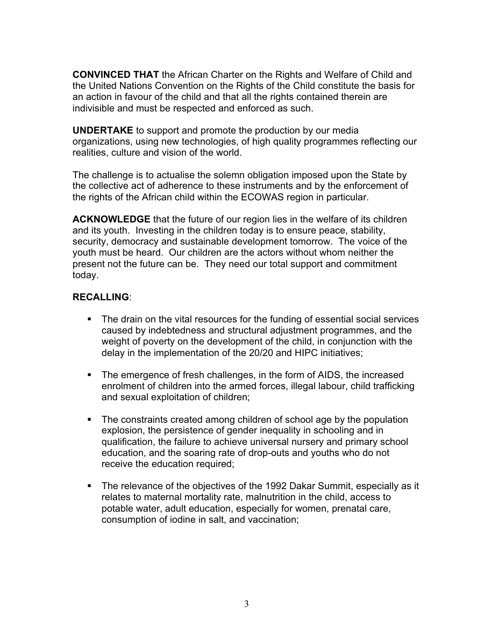**CONVINCED THAT** the African Charter on the Rights and Welfare of Child and the United Nations Convention on the Rights of the Child constitute the basis for an action in favour of the child and that all the rights contained therein are indivisible and must be respected and enforced as such.

**UNDERTAKE** to support and promote the production by our media organizations, using new technologies, of high quality programmes reflecting our realities, culture and vision of the world.

The challenge is to actualise the solemn obligation imposed upon the State by the collective act of adherence to these instruments and by the enforcement of the rights of the African child within the ECOWAS region in particular.

**ACKNOWLEDGE** that the future of our region lies in the welfare of its children and its youth. Investing in the children today is to ensure peace, stability, security, democracy and sustainable development tomorrow. The voice of the youth must be heard. Our children are the actors without whom neither the present not the future can be. They need our total support and commitment today.

#### **RECALLING**:

- The drain on the vital resources for the funding of essential social services caused by indebtedness and structural adjustment programmes, and the weight of poverty on the development of the child, in conjunction with the delay in the implementation of the 20/20 and HIPC initiatives;
- The emergence of fresh challenges, in the form of AIDS, the increased enrolment of children into the armed forces, illegal labour, child trafficking and sexual exploitation of children;
- The constraints created among children of school age by the population explosion, the persistence of gender inequality in schooling and in qualification, the failure to achieve universal nursery and primary school education, and the soaring rate of drop-outs and youths who do not receive the education required;
- The relevance of the objectives of the 1992 Dakar Summit, especially as it relates to maternal mortality rate, malnutrition in the child, access to potable water, adult education, especially for women, prenatal care, consumption of iodine in salt, and vaccination;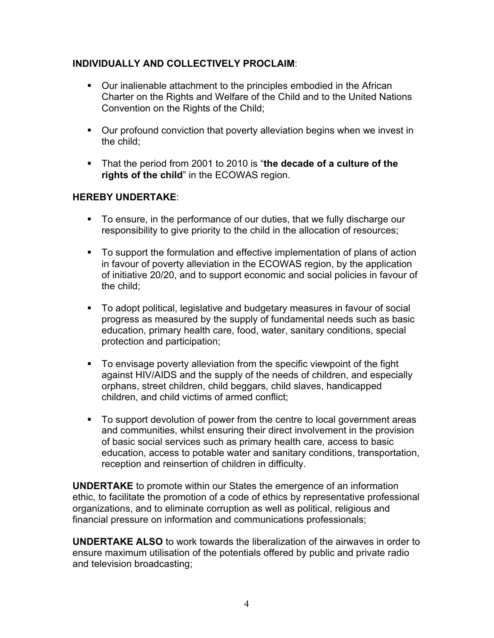#### **INDIVIDUALLY AND COLLECTIVELY PROCLAIM**:

- Our inalienable attachment to the principles embodied in the African Charter on the Rights and Welfare of the Child and to the United Nations Convention on the Rights of the Child;
- Our profound conviction that poverty alleviation begins when we invest in the child;
- That the period from 2001 to 2010 is "**the decade of a culture of the rights of the child**" in the ECOWAS region.

#### **HEREBY UNDERTAKE**:

- To ensure, in the performance of our duties, that we fully discharge our responsibility to give priority to the child in the allocation of resources;
- To support the formulation and effective implementation of plans of action in favour of poverty alleviation in the ECOWAS region, by the application of initiative 20/20, and to support economic and social policies in favour of the child;
- To adopt political, legislative and budgetary measures in favour of social progress as measured by the supply of fundamental needs such as basic education, primary health care, food, water, sanitary conditions, special protection and participation;
- To envisage poverty alleviation from the specific viewpoint of the fight against HIV/AIDS and the supply of the needs of children, and especially orphans, street children, child beggars, child slaves, handicapped children, and child victims of armed conflict;
- To support devolution of power from the centre to local government areas and communities, whilst ensuring their direct involvement in the provision of basic social services such as primary health care, access to basic education, access to potable water and sanitary conditions, transportation, reception and reinsertion of children in difficulty.

**UNDERTAKE** to promote within our States the emergence of an information ethic, to facilitate the promotion of a code of ethics by representative professional organizations, and to eliminate corruption as well as political, religious and financial pressure on information and communications professionals;

**UNDERTAKE ALSO** to work towards the liberalization of the airwaves in order to ensure maximum utilisation of the potentials offered by public and private radio and television broadcasting;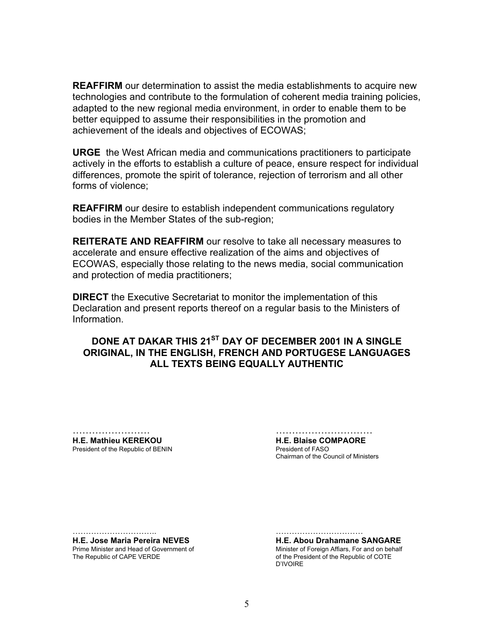**REAFFIRM** our determination to assist the media establishments to acquire new technologies and contribute to the formulation of coherent media training policies, adapted to the new regional media environment, in order to enable them to be better equipped to assume their responsibilities in the promotion and achievement of the ideals and objectives of ECOWAS;

**URGE** the West African media and communications practitioners to participate actively in the efforts to establish a culture of peace, ensure respect for individual differences, promote the spirit of tolerance, rejection of terrorism and all other forms of violence;

**REAFFIRM** our desire to establish independent communications regulatory bodies in the Member States of the sub-region;

**REITERATE AND REAFFIRM** our resolve to take all necessary measures to accelerate and ensure effective realization of the aims and objectives of ECOWAS, especially those relating to the news media, social communication and protection of media practitioners;

**DIRECT** the Executive Secretariat to monitor the implementation of this Declaration and present reports thereof on a regular basis to the Ministers of Information.

#### **DONE AT DAKAR THIS 21ST DAY OF DECEMBER 2001 IN A SINGLE ORIGINAL, IN THE ENGLISH, FRENCH AND PORTUGESE LANGUAGES ALL TEXTS BEING EQUALLY AUTHENTIC**

**H.E. Mathieu KEREKOU H.E. Blaise COMPAORE**<br>
President of the Republic of BENIN Fresident of FASO President of the Republic of BENIN

…………………… …………………………

Chairman of the Council of Ministers

**H.E. Jose Maria Pereira NEVES**<br> **H.E. Abou Drahamane SANGARE**<br>
Minister of Foreign Affiars, For and on behalf Prime Minister and Head of Government of Minister of Foreign Affiars, For and on behalf<br>The Republic of CAPE VERDE<br>of the President of the Republic of COTE of the President of the Republic of COTE D'IVOIRE

………………………….. ……………………………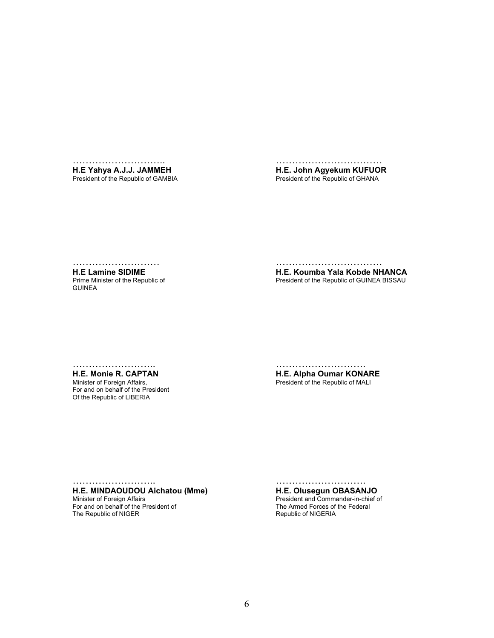……………………….. …………………………… President of the Republic of GAMBIA

**H.E. John Agyekum KUFUOR**<br>President of the Republic of GHANA

GUINEA

……………………… ……………………………

**H.E. Koumba Yala Kobde NHANCA**<br> **Prime Minister of the Republic of H.E. Koumba Yala Kobde NHANCA**<br> **President of the Republic of SUINEA BISSAU** President of the Republic of GUINEA BISSAU

…………………….. ……………………….

For and on behalf of the President Of the Republic of LIBERIA

**H.E. Monie R. CAPTAN H.E. Alpha Oumar KONARE**<br>Minister of Foreign Affairs, **H.B. Alpha Oumar KONARE**<br>President of the Republic of MALI President of the Republic of MALI

# …………………….. ……………………….

**H.E. MINDAOUDOU Aichatou (Mme)** Minister of Foreign Affairs For and on behalf of the President of The Armed Forces of The Armed Forces of The Armed Forces of The Republic of NIGERIA The Republic of NIGER

President and Commander-in-chief of<br>The Armed Forces of the Federal